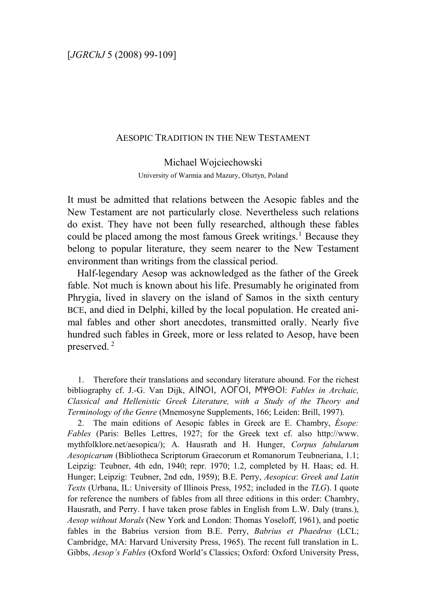[*JGRChJ* 5 (2008) 99-109]

#### AESOPIC TRADITION IN THE NEW TESTAMENT

Michael Wojciechowski University of Warmia and Mazury, Olsztyn, Poland

It must be admitted that relations between the Aesopic fables and the New Testament are not particularly close. Nevertheless such relations do exist. They have not been fully researched, although these fables could be placed among the most famous Greek writings.<sup>[1](#page-0-0)</sup> Because they belong to popular literature, they seem nearer to the New Testament environment than writings from the classical period.

Half-legendary Aesop was acknowledged as the father of the Greek fable. Not much is known about his life. Presumably he originated from Phrygia, lived in slavery on the island of Samos in the sixth century BCE, and died in Delphi, killed by the local population. He created animal fables and other short anecdotes, transmitted orally. Nearly five hundred such fables in Greek, more or less related to Aesop, have been preserved. [2](#page-0-1)

<span id="page-0-0"></span>1. Therefore their translations and secondary literature abound. For the richest bibliography cf. J.-G. Van Dijk, AINOI, AOFOI, MYOOI: *Fables in Archaic*, *Classical and Hellenistic Greek Literature, with a Study of the Theory and Terminology of the Genre* (Mnemosyne Supplements, 166; Leiden: Brill, 1997).

<span id="page-0-1"></span>2. The main editions of Aesopic fables in Greek are E. Chambry, *Ésope: Fables* (Paris: Belles Lettres, 1927; for the Greek text cf. also http://www. mythfolklore.net/aesopica/); A. Hausrath and H. Hunger, *Corpus fabularum Aesopicarum* (Bibliotheca Scriptorum Graecorum et Romanorum Teubneriana, 1.1; Leipzig: Teubner, 4th edn, 1940; repr. 1970; 1.2, completed by H. Haas; ed. H. Hunger; Leipzig: Teubner, 2nd edn, 1959); B.E. Perry, *Aesopica*: *Greek and Latin Texts* (Urbana, IL: University of Illinois Press, 1952; included in the *TLG*). I quote for reference the numbers of fables from all three editions in this order: Chambry, Hausrath, and Perry. I have taken prose fables in English from L.W. Daly (trans.), *Aesop without Morals* (New York and London: Thomas Yoseloff, 1961), and poetic fables in the Babrius version from B.E. Perry, *Babrius et Phaedrus* (LCL; Cambridge, MA: Harvard University Press, 1965). The recent full translation in L. Gibbs, *Aesop's Fables* (Oxford World's Classics; Oxford: Oxford University Press,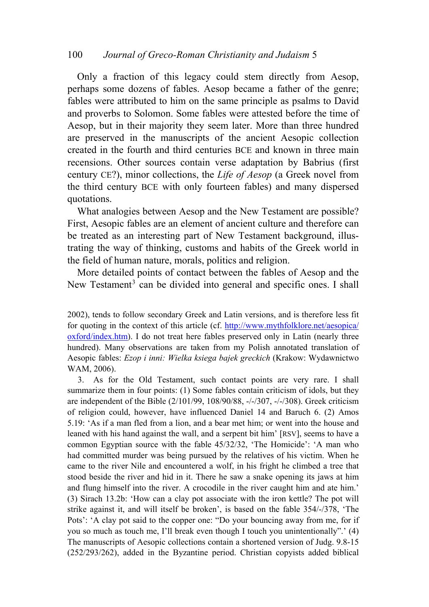# 100 *Journal of Greco-Roman Christianity and Judaism* 5

Only a fraction of this legacy could stem directly from Aesop, perhaps some dozens of fables. Aesop became a father of the genre; fables were attributed to him on the same principle as psalms to David and proverbs to Solomon. Some fables were attested before the time of Aesop, but in their majority they seem later. More than three hundred are preserved in the manuscripts of the ancient Aesopic collection created in the fourth and third centuries BCE and known in three main recensions. Other sources contain verse adaptation by Babrius (first century CE?), minor collections, the *Life of Aesop* (a Greek novel from the third century BCE with only fourteen fables) and many dispersed quotations.

What analogies between Aesop and the New Testament are possible? First, Aesopic fables are an element of ancient culture and therefore can be treated as an interesting part of New Testament background, illustrating the way of thinking, customs and habits of the Greek world in the field of human nature, morals, politics and religion.

More detailed points of contact between the fables of Aesop and the New Testament<sup>[3](#page-1-0)</sup> can be divided into general and specific ones. I shall

2002), tends to follow secondary Greek and Latin versions, and is therefore less fit for quoting in the context of this article (cf. [http://www.mythfolklore.net/aesopica/](http://www.mythfolklore.net/aesopica/%20oxford/index.htm)  [oxford/index.htm](http://www.mythfolklore.net/aesopica/%20oxford/index.htm)). I do not treat here fables preserved only in Latin (nearly three hundred). Many observations are taken from my Polish annotated translation of Aesopic fables: *Ezop i inni: Wielka ksiega bajek greckich* (Krakow: Wydawnictwo WAM, 2006).

<span id="page-1-0"></span>3. As for the Old Testament, such contact points are very rare. I shall summarize them in four points: (1) Some fables contain criticism of idols, but they are independent of the Bible (2/101/99, 108/90/88, -/-/307, -/-/308). Greek criticism of religion could, however, have influenced Daniel 14 and Baruch 6. (2) Amos 5.19: 'As if a man fled from a lion, and a bear met him; or went into the house and leaned with his hand against the wall, and a serpent bit him' [RSV], seems to have a common Egyptian source with the fable 45/32/32, 'The Homicide': 'A man who had committed murder was being pursued by the relatives of his victim. When he came to the river Nile and encountered a wolf, in his fright he climbed a tree that stood beside the river and hid in it. There he saw a snake opening its jaws at him and flung himself into the river. A crocodile in the river caught him and ate him.' (3) Sirach 13.2b: 'How can a clay pot associate with the iron kettle? The pot will strike against it, and will itself be broken', is based on the fable 354/-/378, 'The Pots': 'A clay pot said to the copper one: "Do your bouncing away from me, for if you so much as touch me, I'll break even though I touch you unintentionally".' (4) The manuscripts of Aesopic collections contain a shortened version of Judg. 9.8-15 (252/293/262), added in the Byzantine period. Christian copyists added biblical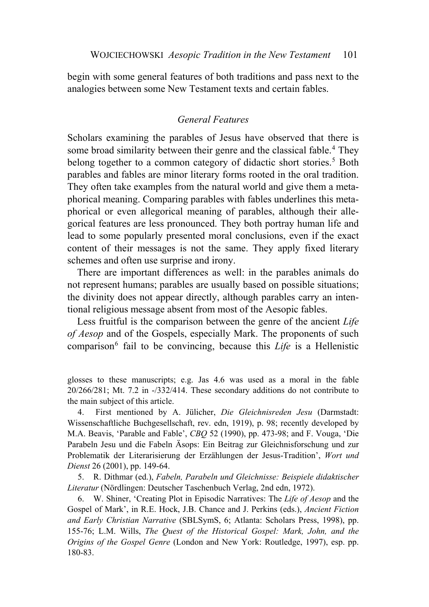begin with some general features of both traditions and pass next to the analogies between some New Testament texts and certain fables.

# *General Features*

Scholars examining the parables of Jesus have observed that there is some broad similarity between their genre and the classical fable.<sup>[4](#page-2-0)</sup> They belong together to a common category of didactic short stories.<sup>[5](#page-2-1)</sup> Both parables and fables are minor literary forms rooted in the oral tradition. They often take examples from the natural world and give them a metaphorical meaning. Comparing parables with fables underlines this metaphorical or even allegorical meaning of parables, although their allegorical features are less pronounced. They both portray human life and lead to some popularly presented moral conclusions, even if the exact content of their messages is not the same. They apply fixed literary schemes and often use surprise and irony.

There are important differences as well: in the parables animals do not represent humans; parables are usually based on possible situations; the divinity does not appear directly, although parables carry an intentional religious message absent from most of the Aesopic fables.

Less fruitful is the comparison between the genre of the ancient *Life of Aesop* and of the Gospels, especially Mark. The proponents of such comparison[6](#page-2-2) fail to be convincing, because this *Life* is a Hellenistic

glosses to these manuscripts; e.g. Jas 4.6 was used as a moral in the fable 20/266/281; Mt. 7.2 in -/332/414. These secondary additions do not contribute to the main subject of this article.

<span id="page-2-0"></span>4. First mentioned by A. Jülicher, *Die Gleichnisreden Jesu* (Darmstadt: Wissenschaftliche Buchgesellschaft, rev. edn, 1919), p. 98; recently developed by M.A. Beavis, 'Parable and Fable', *CBQ* 52 (1990), pp. 473-98; and F. Vouga, 'Die Parabeln Jesu und die Fabeln Äsops: Ein Beitrag zur Gleichnisforschung und zur Problematik der Literarisierung der Erzählungen der Jesus-Tradition', *Wort und Dienst* 26 (2001), pp. 149-64.

<span id="page-2-1"></span>5. R. Dithmar (ed.), *Fabeln, Parabeln und Gleichnisse: Beispiele didaktischer Literatur* (Nördlingen: Deutscher Taschenbuch Verlag, 2nd edn, 1972).

<span id="page-2-2"></span>6. W. Shiner, 'Creating Plot in Episodic Narratives: The *Life of Aesop* and the Gospel of Mark', in R.E. Hock, J.B. Chance and J. Perkins (eds.), *Ancient Fiction and Early Christian Narrative* (SBLSymS, 6; Atlanta: Scholars Press, 1998), pp. 155-76; L.M. Wills, *The Quest of the Historical Gospel: Mark, John, and the Origins of the Gospel Genre* (London and New York: Routledge, 1997), esp. pp. 180-83.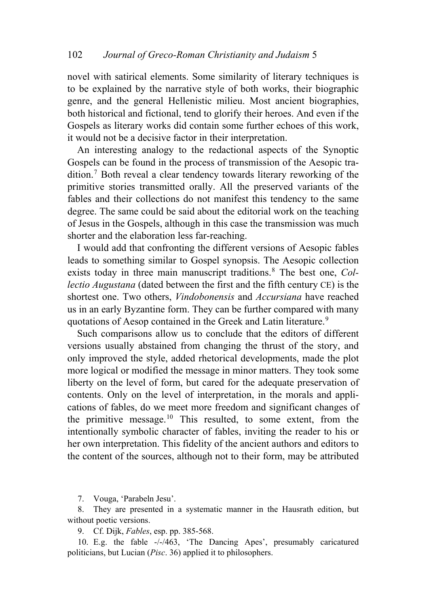novel with satirical elements. Some similarity of literary techniques is to be explained by the narrative style of both works, their biographic genre, and the general Hellenistic milieu. Most ancient biographies, both historical and fictional, tend to glorify their heroes. And even if the Gospels as literary works did contain some further echoes of this work, it would not be a decisive factor in their interpretation.

An interesting analogy to the redactional aspects of the Synoptic Gospels can be found in the process of transmission of the Aesopic tradition.[7](#page-3-0) Both reveal a clear tendency towards literary reworking of the primitive stories transmitted orally. All the preserved variants of the fables and their collections do not manifest this tendency to the same degree. The same could be said about the editorial work on the teaching of Jesus in the Gospels, although in this case the transmission was much shorter and the elaboration less far-reaching.

I would add that confronting the different versions of Aesopic fables leads to something similar to Gospel synopsis. The Aesopic collection exists today in three main manuscript traditions.<sup>[8](#page-3-1)</sup> The best one, *Collectio Augustana* (dated between the first and the fifth century CE) is the shortest one. Two others, *Vindobonensis* and *Accursiana* have reached us in an early Byzantine form. They can be further compared with many quotations of Aesop contained in the Greek and Latin literature.<sup>[9](#page-3-2)</sup>

Such comparisons allow us to conclude that the editors of different versions usually abstained from changing the thrust of the story, and only improved the style, added rhetorical developments, made the plot more logical or modified the message in minor matters. They took some liberty on the level of form, but cared for the adequate preservation of contents. Only on the level of interpretation, in the morals and applications of fables, do we meet more freedom and significant changes of the primitive message.[10](#page-3-3) This resulted, to some extent, from the intentionally symbolic character of fables, inviting the reader to his or her own interpretation. This fidelity of the ancient authors and editors to the content of the sources, although not to their form, may be attributed

7. Vouga, 'Parabeln Jesu'.

<span id="page-3-1"></span><span id="page-3-0"></span>8. They are presented in a systematic manner in the Hausrath edition, but without poetic versions.

9. Cf. Dijk, *Fables*, esp. pp. 385-568.

<span id="page-3-3"></span><span id="page-3-2"></span>10. E.g. the fable -/-/463, 'The Dancing Apes', presumably caricatured politicians, but Lucian (*Pisc*. 36) applied it to philosophers.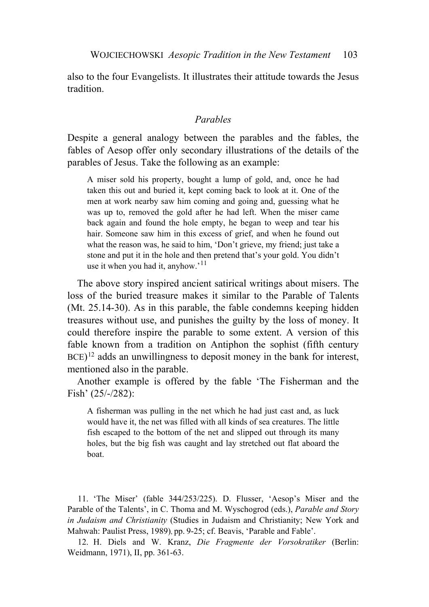also to the four Evangelists. It illustrates their attitude towards the Jesus tradition.

## *Parables*

Despite a general analogy between the parables and the fables, the fables of Aesop offer only secondary illustrations of the details of the parables of Jesus. Take the following as an example:

A miser sold his property, bought a lump of gold, and, once he had taken this out and buried it, kept coming back to look at it. One of the men at work nearby saw him coming and going and, guessing what he was up to, removed the gold after he had left. When the miser came back again and found the hole empty, he began to weep and tear his hair. Someone saw him in this excess of grief, and when he found out what the reason was, he said to him, 'Don't grieve, my friend; just take a stone and put it in the hole and then pretend that's your gold. You didn't use it when you had it, anyhow.<sup>'[11](#page-4-0)</sup>

The above story inspired ancient satirical writings about misers. The loss of the buried treasure makes it similar to the Parable of Talents (Mt. 25.14-30). As in this parable, the fable condemns keeping hidden treasures without use, and punishes the guilty by the loss of money. It could therefore inspire the parable to some extent. A version of this fable known from a tradition on Antiphon the sophist (fifth century  $BCE$ <sup> $12$ </sup> adds an unwillingness to deposit money in the bank for interest, mentioned also in the parable.

Another example is offered by the fable 'The Fisherman and the Fish' (25/-/282):

A fisherman was pulling in the net which he had just cast and, as luck would have it, the net was filled with all kinds of sea creatures. The little fish escaped to the bottom of the net and slipped out through its many holes, but the big fish was caught and lay stretched out flat aboard the boat.

<span id="page-4-0"></span>11. 'The Miser' (fable 344/253/225). D. Flusser, 'Aesop's Miser and the Parable of the Talents', in C. Thoma and M. Wyschogrod (eds.), *Parable and Story in Judaism and Christianity* (Studies in Judaism and Christianity; New York and Mahwah: Paulist Press, 1989), pp. 9-25; cf. Beavis, 'Parable and Fable'.

<span id="page-4-1"></span>12. H. Diels and W. Kranz, *Die Fragmente der Vorsokratiker* (Berlin: Weidmann, 1971), II, pp. 361-63.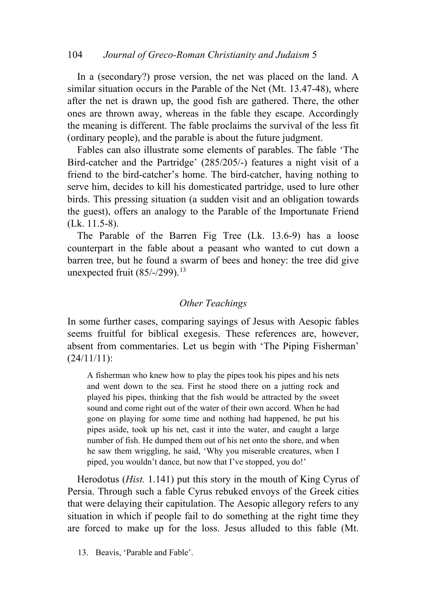### 104 *Journal of Greco-Roman Christianity and Judaism* 5

In a (secondary?) prose version, the net was placed on the land. A similar situation occurs in the Parable of the Net (Mt. 13.47-48), where after the net is drawn up, the good fish are gathered. There, the other ones are thrown away, whereas in the fable they escape. Accordingly the meaning is different. The fable proclaims the survival of the less fit (ordinary people), and the parable is about the future judgment.

Fables can also illustrate some elements of parables. The fable 'The Bird-catcher and the Partridge' (285/205/-) features a night visit of a friend to the bird-catcher's home. The bird-catcher, having nothing to serve him, decides to kill his domesticated partridge, used to lure other birds. This pressing situation (a sudden visit and an obligation towards the guest), offers an analogy to the Parable of the Importunate Friend (Lk. 11.5-8).

The Parable of the Barren Fig Tree (Lk. 13.6-9) has a loose counterpart in the fable about a peasant who wanted to cut down a barren tree, but he found a swarm of bees and honey: the tree did give unexpected fruit  $(85/-/299).$ <sup>[13](#page-5-0)</sup>

### *Other Teachings*

In some further cases, comparing sayings of Jesus with Aesopic fables seems fruitful for biblical exegesis. These references are, however, absent from commentaries. Let us begin with 'The Piping Fisherman'  $(24/11/11)$ :

A fisherman who knew how to play the pipes took his pipes and his nets and went down to the sea. First he stood there on a jutting rock and played his pipes, thinking that the fish would be attracted by the sweet sound and come right out of the water of their own accord. When he had gone on playing for some time and nothing had happened, he put his pipes aside, took up his net, cast it into the water, and caught a large number of fish. He dumped them out of his net onto the shore, and when he saw them wriggling, he said, 'Why you miserable creatures, when I piped, you wouldn't dance, but now that I've stopped, you do!'

Herodotus (*Hist.* 1.141) put this story in the mouth of King Cyrus of Persia. Through such a fable Cyrus rebuked envoys of the Greek cities that were delaying their capitulation. The Aesopic allegory refers to any situation in which if people fail to do something at the right time they are forced to make up for the loss. Jesus alluded to this fable (Mt.

<span id="page-5-0"></span>13. Beavis, 'Parable and Fable'.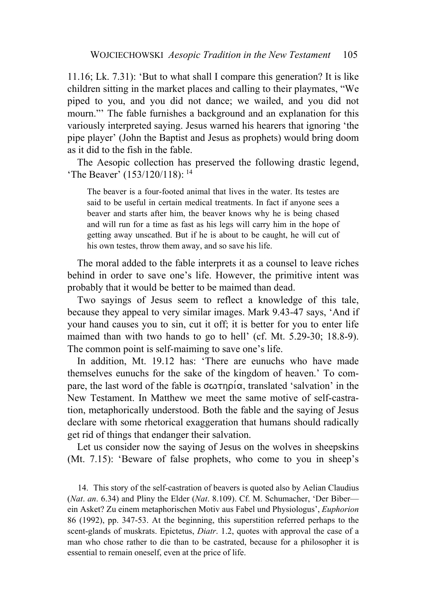11.16; Lk. 7.31): 'But to what shall I compare this generation? It is like children sitting in the market places and calling to their playmates, "We piped to you, and you did not dance; we wailed, and you did not mourn."' The fable furnishes a background and an explanation for this variously interpreted saying. Jesus warned his hearers that ignoring 'the pipe player' (John the Baptist and Jesus as prophets) would bring doom as it did to the fish in the fable.

The Aesopic collection has preserved the following drastic legend, 'The Beaver' (153/120/118): [14](#page-6-0)

The beaver is a four-footed animal that lives in the water. Its testes are said to be useful in certain medical treatments. In fact if anyone sees a beaver and starts after him, the beaver knows why he is being chased and will run for a time as fast as his legs will carry him in the hope of getting away unscathed. But if he is about to be caught, he will cut of his own testes, throw them away, and so save his life.

The moral added to the fable interprets it as a counsel to leave riches behind in order to save one's life. However, the primitive intent was probably that it would be better to be maimed than dead.

Two sayings of Jesus seem to reflect a knowledge of this tale, because they appeal to very similar images. Mark 9.43-47 says, 'And if your hand causes you to sin, cut it off; it is better for you to enter life maimed than with two hands to go to hell' (cf. Mt. 5.29-30; 18.8-9). The common point is self-maiming to save one's life.

In addition, Mt. 19.12 has: 'There are eunuchs who have made themselves eunuchs for the sake of the kingdom of heaven.' To compare, the last word of the fable is  $\sigma \omega \tau \eta \rho' \alpha$ , translated 'salvation' in the New Testament. In Matthew we meet the same motive of self-castration, metaphorically understood. Both the fable and the saying of Jesus declare with some rhetorical exaggeration that humans should radically get rid of things that endanger their salvation.

Let us consider now the saying of Jesus on the wolves in sheepskins (Mt. 7.15): 'Beware of false prophets, who come to you in sheep's

<span id="page-6-0"></span>14. This story of the self-castration of beavers is quoted also by Aelian Claudius (*Nat*. *an*. 6.34) and Pliny the Elder (*Nat*. 8.109). Cf. M. Schumacher, 'Der Biber ein Asket? Zu einem metaphorischen Motiv aus Fabel und Physiologus', *Euphorion* 86 (1992), pp. 347-53. At the beginning, this superstition referred perhaps to the scent-glands of muskrats. Epictetus, *Diatr*. 1.2, quotes with approval the case of a man who chose rather to die than to be castrated, because for a philosopher it is essential to remain oneself, even at the price of life.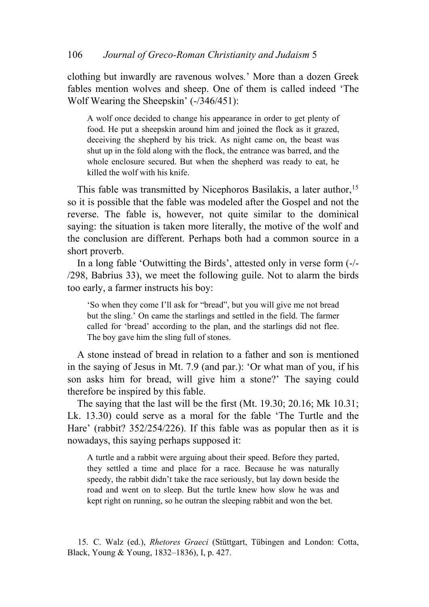clothing but inwardly are ravenous wolves*.*' More than a dozen Greek fables mention wolves and sheep. One of them is called indeed 'The Wolf Wearing the Sheepskin' (-/346/451):

A wolf once decided to change his appearance in order to get plenty of food. He put a sheepskin around him and joined the flock as it grazed, deceiving the shepherd by his trick. As night came on, the beast was shut up in the fold along with the flock, the entrance was barred, and the whole enclosure secured. But when the shepherd was ready to eat, he killed the wolf with his knife.

This fable was transmitted by Nicephoros Basilakis, a later author,<sup>[15](#page-7-0)</sup> so it is possible that the fable was modeled after the Gospel and not the reverse. The fable is, however, not quite similar to the dominical saying: the situation is taken more literally, the motive of the wolf and the conclusion are different. Perhaps both had a common source in a short proverb.

In a long fable 'Outwitting the Birds', attested only in verse form (-/- /298, Babrius 33), we meet the following guile. Not to alarm the birds too early, a farmer instructs his boy:

'So when they come I'll ask for "bread", but you will give me not bread but the sling.' On came the starlings and settled in the field. The farmer called for 'bread' according to the plan, and the starlings did not flee. The boy gave him the sling full of stones.

A stone instead of bread in relation to a father and son is mentioned in the saying of Jesus in Mt. 7.9 (and par.): 'Or what man of you, if his son asks him for bread, will give him a stone?' The saying could therefore be inspired by this fable.

The saying that the last will be the first (Mt. 19.30; 20.16; Mk 10.31; Lk. 13.30) could serve as a moral for the fable 'The Turtle and the Hare' (rabbit? 352/254/226). If this fable was as popular then as it is nowadays, this saying perhaps supposed it:

A turtle and a rabbit were arguing about their speed. Before they parted, they settled a time and place for a race. Because he was naturally speedy, the rabbit didn't take the race seriously, but lay down beside the road and went on to sleep. But the turtle knew how slow he was and kept right on running, so he outran the sleeping rabbit and won the bet.

<span id="page-7-0"></span>15. C. Walz (ed.), *Rhetores Graeci* (Stüttgart, Tübingen and London: Cotta, Black, Young & Young, 1832–1836), I, p. 427.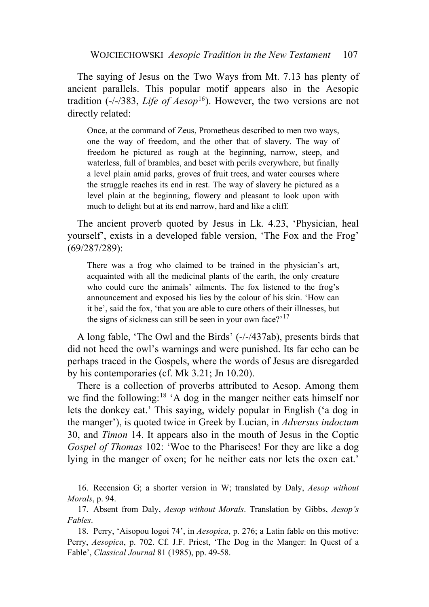The saying of Jesus on the Two Ways from Mt. 7.13 has plenty of ancient parallels. This popular motif appears also in the Aesopic tradition (-/-/383, *Life of Aesop*<sup>[16](#page-8-0)</sup>). However, the two versions are not directly related:

Once, at the command of Zeus, Prometheus described to men two ways, one the way of freedom, and the other that of slavery. The way of freedom he pictured as rough at the beginning, narrow, steep, and waterless, full of brambles, and beset with perils everywhere, but finally a level plain amid parks, groves of fruit trees, and water courses where the struggle reaches its end in rest. The way of slavery he pictured as a level plain at the beginning, flowery and pleasant to look upon with much to delight but at its end narrow, hard and like a cliff.

The ancient proverb quoted by Jesus in Lk. 4.23, 'Physician, heal yourself', exists in a developed fable version, 'The Fox and the Frog' (69/287/289):

There was a frog who claimed to be trained in the physician's art, acquainted with all the medicinal plants of the earth, the only creature who could cure the animals' ailments. The fox listened to the frog's announcement and exposed his lies by the colour of his skin. 'How can it be', said the fox, 'that you are able to cure others of their illnesses, but the signs of sickness can still be seen in your own face?<sup> $17$ </sup>

A long fable, 'The Owl and the Birds' (-/-/437ab), presents birds that did not heed the owl's warnings and were punished. Its far echo can be perhaps traced in the Gospels, where the words of Jesus are disregarded by his contemporaries (cf. Mk 3.21; Jn 10.20).

There is a collection of proverbs attributed to Aesop. Among them we find the following:<sup>[18](#page-8-2)</sup> 'A dog in the manger neither eats himself nor lets the donkey eat.' This saying, widely popular in English ('a dog in the manger'), is quoted twice in Greek by Lucian, in *Adversus indoctum* 30, and *Timon* 14. It appears also in the mouth of Jesus in the Coptic *Gospel of Thomas* 102: 'Woe to the Pharisees! For they are like a dog lying in the manger of oxen; for he neither eats nor lets the oxen eat.'

<span id="page-8-0"></span>16. Recension G; a shorter version in W; translated by Daly, *Aesop without Morals*, p. 94.

<span id="page-8-1"></span>17. Absent from Daly, *Aesop without Morals*. Translation by Gibbs, *Aesop's Fables*.

<span id="page-8-2"></span>18. Perry, 'Aisopou logoi 74', in *Aesopica*, p. 276; a Latin fable on this motive: Perry, *Aesopica*, p. 702. Cf. J.F. Priest, 'The Dog in the Manger: In Quest of a Fable', *Classical Journal* 81 (1985), pp. 49-58.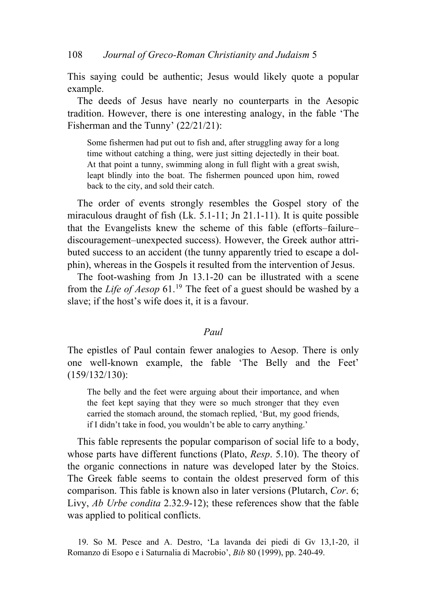This saying could be authentic; Jesus would likely quote a popular example.

The deeds of Jesus have nearly no counterparts in the Aesopic tradition. However, there is one interesting analogy, in the fable 'The Fisherman and the Tunny' (22/21/21):

Some fishermen had put out to fish and, after struggling away for a long time without catching a thing, were just sitting dejectedly in their boat. At that point a tunny, swimming along in full flight with a great swish, leapt blindly into the boat. The fishermen pounced upon him, rowed back to the city, and sold their catch.

The order of events strongly resembles the Gospel story of the miraculous draught of fish (Lk. 5.1-11; Jn 21.1-11). It is quite possible that the Evangelists knew the scheme of this fable (efforts–failure– discouragement–unexpected success). However, the Greek author attributed success to an accident (the tunny apparently tried to escape a dolphin), whereas in the Gospels it resulted from the intervention of Jesus.

The foot-washing from Jn 13.1-20 can be illustrated with a scene from the *Life of Aesop* 61.[19](#page-9-0) The feet of a guest should be washed by a slave; if the host's wife does it, it is a favour.

#### *Paul*

The epistles of Paul contain fewer analogies to Aesop. There is only one well-known example, the fable 'The Belly and the Feet' (159/132/130):

The belly and the feet were arguing about their importance, and when the feet kept saying that they were so much stronger that they even carried the stomach around, the stomach replied, 'But, my good friends, if I didn't take in food, you wouldn't be able to carry anything.'

This fable represents the popular comparison of social life to a body, whose parts have different functions (Plato, *Resp*. 5.10). The theory of the organic connections in nature was developed later by the Stoics. The Greek fable seems to contain the oldest preserved form of this comparison. This fable is known also in later versions (Plutarch, *Cor*. 6; Livy, *Ab Urbe condita* 2.32.9-12); these references show that the fable was applied to political conflicts.

<span id="page-9-0"></span>19. So M. Pesce and A. Destro, 'La lavanda dei piedi di Gv 13,1-20, il Romanzo di Esopo e i Saturnalia di Macrobio', *Bib* 80 (1999), pp. 240-49.